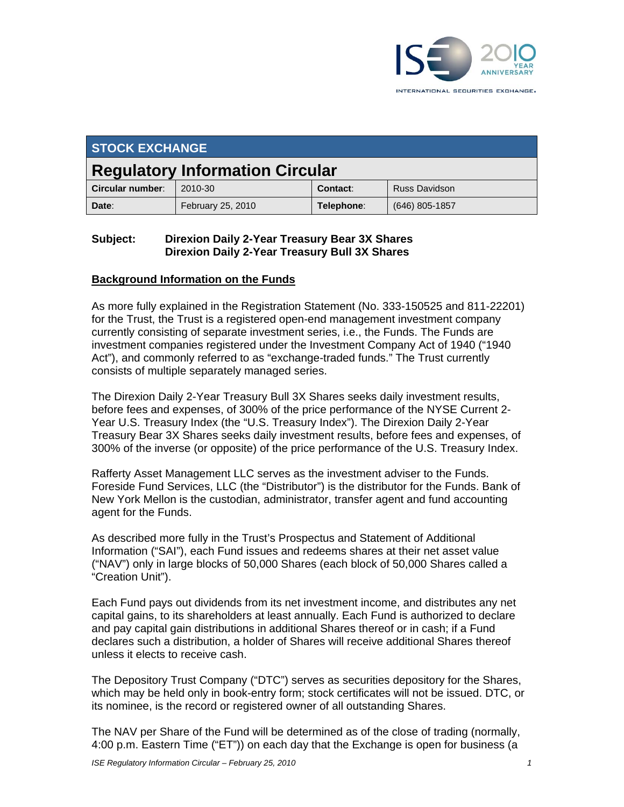

| <b>STOCK EXCHANGE</b>                  |                   |            |                      |
|----------------------------------------|-------------------|------------|----------------------|
| <b>Regulatory Information Circular</b> |                   |            |                      |
| Circular number:                       | 2010-30           | Contact:   | <b>Russ Davidson</b> |
| Date:                                  | February 25, 2010 | Telephone: | $(646)$ 805-1857     |

#### **Subject: Direxion Daily 2-Year Treasury Bear 3X Shares Direxion Daily 2-Year Treasury Bull 3X Shares**

#### **Background Information on the Funds**

As more fully explained in the Registration Statement (No. 333-150525 and 811-22201) for the Trust, the Trust is a registered open-end management investment company currently consisting of separate investment series, i.e., the Funds. The Funds are investment companies registered under the Investment Company Act of 1940 ("1940 Act"), and commonly referred to as "exchange-traded funds." The Trust currently consists of multiple separately managed series.

The Direxion Daily 2-Year Treasury Bull 3X Shares seeks daily investment results, before fees and expenses, of 300% of the price performance of the NYSE Current 2- Year U.S. Treasury Index (the "U.S. Treasury Index"). The Direxion Daily 2-Year Treasury Bear 3X Shares seeks daily investment results, before fees and expenses, of 300% of the inverse (or opposite) of the price performance of the U.S. Treasury Index.

Rafferty Asset Management LLC serves as the investment adviser to the Funds. Foreside Fund Services, LLC (the "Distributor") is the distributor for the Funds. Bank of New York Mellon is the custodian, administrator, transfer agent and fund accounting agent for the Funds.

As described more fully in the Trust's Prospectus and Statement of Additional Information ("SAI"), each Fund issues and redeems shares at their net asset value ("NAV") only in large blocks of 50,000 Shares (each block of 50,000 Shares called a "Creation Unit").

Each Fund pays out dividends from its net investment income, and distributes any net capital gains, to its shareholders at least annually. Each Fund is authorized to declare and pay capital gain distributions in additional Shares thereof or in cash; if a Fund declares such a distribution, a holder of Shares will receive additional Shares thereof unless it elects to receive cash.

The Depository Trust Company ("DTC") serves as securities depository for the Shares, which may be held only in book-entry form; stock certificates will not be issued. DTC, or its nominee, is the record or registered owner of all outstanding Shares.

The NAV per Share of the Fund will be determined as of the close of trading (normally, 4:00 p.m. Eastern Time ("ET")) on each day that the Exchange is open for business (a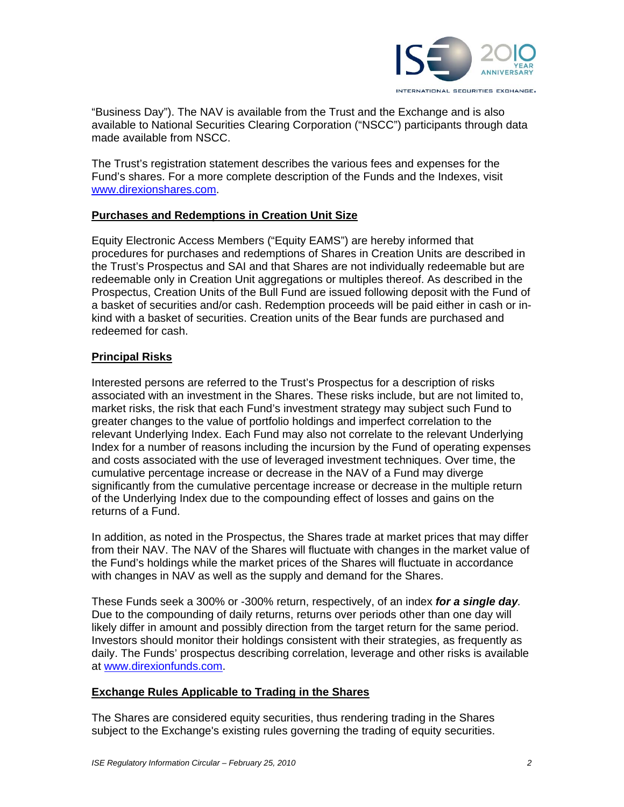

"Business Day"). The NAV is available from the Trust and the Exchange and is also available to National Securities Clearing Corporation ("NSCC") participants through data made available from NSCC.

The Trust's registration statement describes the various fees and expenses for the Fund's shares. For a more complete description of the Funds and the Indexes, visit www.direxionshares.com.

## **Purchases and Redemptions in Creation Unit Size**

Equity Electronic Access Members ("Equity EAMS") are hereby informed that procedures for purchases and redemptions of Shares in Creation Units are described in the Trust's Prospectus and SAI and that Shares are not individually redeemable but are redeemable only in Creation Unit aggregations or multiples thereof. As described in the Prospectus, Creation Units of the Bull Fund are issued following deposit with the Fund of a basket of securities and/or cash. Redemption proceeds will be paid either in cash or inkind with a basket of securities. Creation units of the Bear funds are purchased and redeemed for cash.

## **Principal Risks**

Interested persons are referred to the Trust's Prospectus for a description of risks associated with an investment in the Shares. These risks include, but are not limited to, market risks, the risk that each Fund's investment strategy may subject such Fund to greater changes to the value of portfolio holdings and imperfect correlation to the relevant Underlying Index. Each Fund may also not correlate to the relevant Underlying Index for a number of reasons including the incursion by the Fund of operating expenses and costs associated with the use of leveraged investment techniques. Over time, the cumulative percentage increase or decrease in the NAV of a Fund may diverge significantly from the cumulative percentage increase or decrease in the multiple return of the Underlying Index due to the compounding effect of losses and gains on the returns of a Fund.

In addition, as noted in the Prospectus, the Shares trade at market prices that may differ from their NAV. The NAV of the Shares will fluctuate with changes in the market value of the Fund's holdings while the market prices of the Shares will fluctuate in accordance with changes in NAV as well as the supply and demand for the Shares.

These Funds seek a 300% or -300% return, respectively, of an index *for a single day.*  Due to the compounding of daily returns, returns over periods other than one day will likely differ in amount and possibly direction from the target return for the same period. Investors should monitor their holdings consistent with their strategies, as frequently as daily. The Funds' prospectus describing correlation, leverage and other risks is available at www.direxionfunds.com.

## **Exchange Rules Applicable to Trading in the Shares**

The Shares are considered equity securities, thus rendering trading in the Shares subject to the Exchange's existing rules governing the trading of equity securities.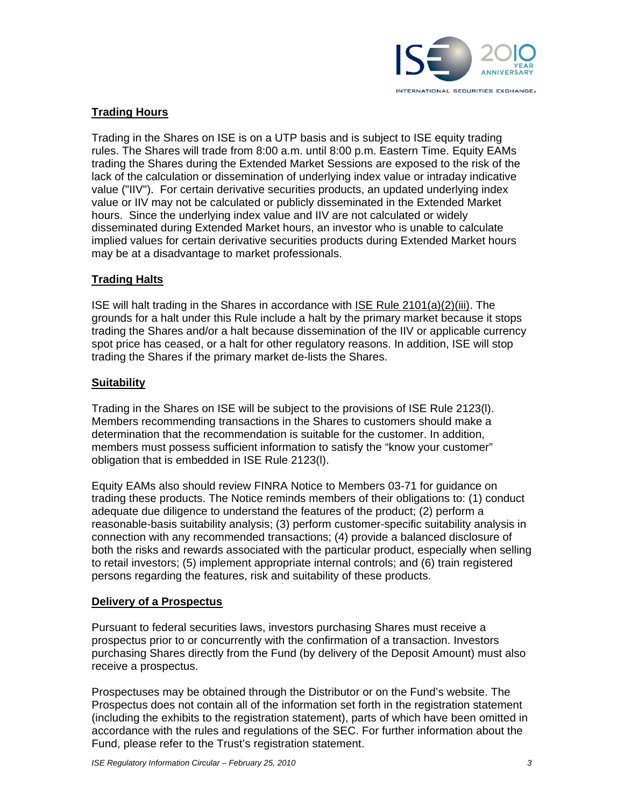

## **Trading Hours**

Trading in the Shares on ISE is on a UTP basis and is subject to ISE equity trading rules. The Shares will trade from 8:00 a.m. until 8:00 p.m. Eastern Time. Equity EAMs trading the Shares during the Extended Market Sessions are exposed to the risk of the lack of the calculation or dissemination of underlying index value or intraday indicative value ("IIV"). For certain derivative securities products, an updated underlying index value or IIV may not be calculated or publicly disseminated in the Extended Market hours. Since the underlying index value and IIV are not calculated or widely disseminated during Extended Market hours, an investor who is unable to calculate implied values for certain derivative securities products during Extended Market hours may be at a disadvantage to market professionals.

## **Trading Halts**

ISE will halt trading in the Shares in accordance with ISE Rule 2101(a)(2)(iii). The grounds for a halt under this Rule include a halt by the primary market because it stops trading the Shares and/or a halt because dissemination of the IIV or applicable currency spot price has ceased, or a halt for other regulatory reasons. In addition, ISE will stop trading the Shares if the primary market de-lists the Shares.

## **Suitability**

Trading in the Shares on ISE will be subject to the provisions of ISE Rule 2123(l). Members recommending transactions in the Shares to customers should make a determination that the recommendation is suitable for the customer. In addition, members must possess sufficient information to satisfy the "know your customer" obligation that is embedded in ISE Rule 2123(l).

Equity EAMs also should review FINRA Notice to Members 03-71 for guidance on trading these products. The Notice reminds members of their obligations to: (1) conduct adequate due diligence to understand the features of the product; (2) perform a reasonable-basis suitability analysis; (3) perform customer-specific suitability analysis in connection with any recommended transactions; (4) provide a balanced disclosure of both the risks and rewards associated with the particular product, especially when selling to retail investors; (5) implement appropriate internal controls; and (6) train registered persons regarding the features, risk and suitability of these products.

## **Delivery of a Prospectus**

Pursuant to federal securities laws, investors purchasing Shares must receive a prospectus prior to or concurrently with the confirmation of a transaction. Investors purchasing Shares directly from the Fund (by delivery of the Deposit Amount) must also receive a prospectus.

Prospectuses may be obtained through the Distributor or on the Fund's website. The Prospectus does not contain all of the information set forth in the registration statement (including the exhibits to the registration statement), parts of which have been omitted in accordance with the rules and regulations of the SEC. For further information about the Fund, please refer to the Trust's registration statement.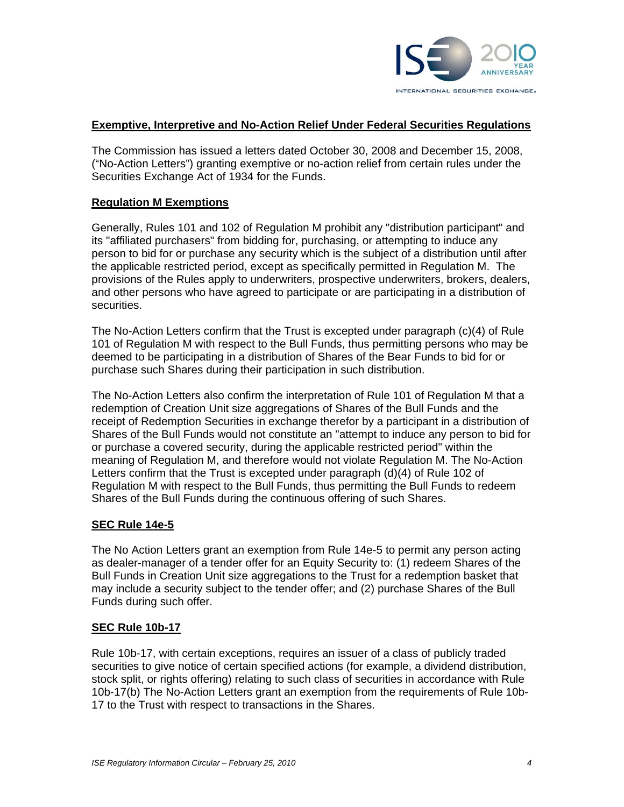

#### **Exemptive, Interpretive and No-Action Relief Under Federal Securities Regulations**

The Commission has issued a letters dated October 30, 2008 and December 15, 2008, ("No-Action Letters") granting exemptive or no-action relief from certain rules under the Securities Exchange Act of 1934 for the Funds.

#### **Regulation M Exemptions**

Generally, Rules 101 and 102 of Regulation M prohibit any "distribution participant" and its "affiliated purchasers" from bidding for, purchasing, or attempting to induce any person to bid for or purchase any security which is the subject of a distribution until after the applicable restricted period, except as specifically permitted in Regulation M. The provisions of the Rules apply to underwriters, prospective underwriters, brokers, dealers, and other persons who have agreed to participate or are participating in a distribution of securities.

The No-Action Letters confirm that the Trust is excepted under paragraph (c)(4) of Rule 101 of Regulation M with respect to the Bull Funds, thus permitting persons who may be deemed to be participating in a distribution of Shares of the Bear Funds to bid for or purchase such Shares during their participation in such distribution.

The No-Action Letters also confirm the interpretation of Rule 101 of Regulation M that a redemption of Creation Unit size aggregations of Shares of the Bull Funds and the receipt of Redemption Securities in exchange therefor by a participant in a distribution of Shares of the Bull Funds would not constitute an "attempt to induce any person to bid for or purchase a covered security, during the applicable restricted period" within the meaning of Regulation M, and therefore would not violate Regulation M. The No-Action Letters confirm that the Trust is excepted under paragraph (d)(4) of Rule 102 of Regulation M with respect to the Bull Funds, thus permitting the Bull Funds to redeem Shares of the Bull Funds during the continuous offering of such Shares.

## **SEC Rule 14e-5**

The No Action Letters grant an exemption from Rule 14e-5 to permit any person acting as dealer-manager of a tender offer for an Equity Security to: (1) redeem Shares of the Bull Funds in Creation Unit size aggregations to the Trust for a redemption basket that may include a security subject to the tender offer; and (2) purchase Shares of the Bull Funds during such offer.

#### **SEC Rule 10b-17**

Rule 10b-17, with certain exceptions, requires an issuer of a class of publicly traded securities to give notice of certain specified actions (for example, a dividend distribution, stock split, or rights offering) relating to such class of securities in accordance with Rule 10b-17(b) The No-Action Letters grant an exemption from the requirements of Rule 10b-17 to the Trust with respect to transactions in the Shares.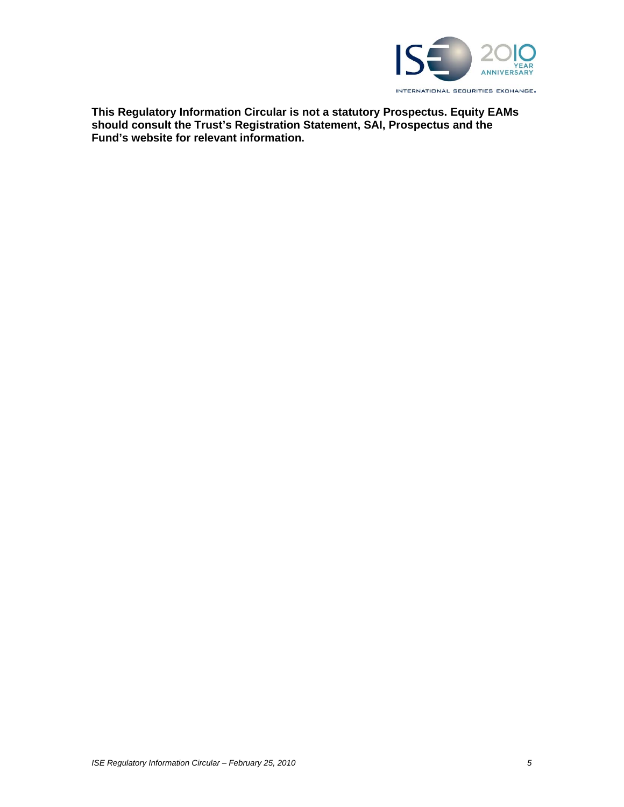

**This Regulatory Information Circular is not a statutory Prospectus. Equity EAMs should consult the Trust's Registration Statement, SAI, Prospectus and the Fund's website for relevant information.**